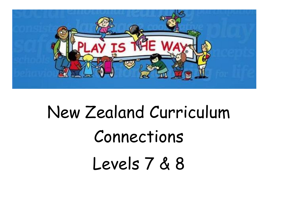

# New Zealand Curriculum Connections Levels 7 & 8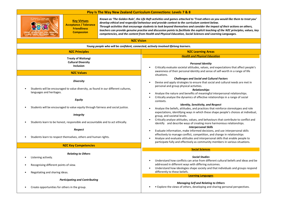

**Key Virtues Acceptance / Tolerance Friendliness Compassion**

*Known as 'The Golden Rule', the Life Raft activities and games attached to 'Treat others as you would like them to treat you' develop ethical and respectful behaviour and provide context to the curriculum content below. Through activities that encourage students to look beyond themselves and consider the impact of their actions on others, teachers can provide genuine practise and discussion points to facilitate the explicit teaching of the NZC principles, values, key competencies, and the content from Health and Physical Education, Social Sciences and Learning Languages.*

| Young people who will be confident, connected, actively involved lifelong learners.                     |                                                                                                                                                                                                                                                                                                                                        |
|---------------------------------------------------------------------------------------------------------|----------------------------------------------------------------------------------------------------------------------------------------------------------------------------------------------------------------------------------------------------------------------------------------------------------------------------------------|
| <b>NZC Principles</b>                                                                                   | <b>NZC Learning Areas</b>                                                                                                                                                                                                                                                                                                              |
| <b>Treaty of Waitangi</b><br><b>Cultural Diversity</b><br><b>Inclusion</b>                              | <b>Health and Physical Education</b><br><b>Personal Identity</b><br>Critically evaluate societal attitudes, values, and expectations that affect people's                                                                                                                                                                              |
| <b>NZC Values</b>                                                                                       | awareness of their personal identity and sense of self-worth in a range of life<br>situations.                                                                                                                                                                                                                                         |
| <b>Diversity</b><br>Students will be encouraged to value diversity, as found in our different cultures, | <b>Challenges and Social and Cultural Factors</b><br>Devise and apply strategies to ensure that social and cultural needs are met in<br>personal and group physical activities.<br><b>Relationships</b>                                                                                                                                |
| languages and heritages.<br>Equity                                                                      | Analyse the nature and benefits of meaningful interpersonal relationships.<br>Critically analyse the dynamics of effective relationships in a range of social<br>contexts.                                                                                                                                                             |
| Students will be encouraged to value equity through fairness and social justice.                        | <b>Identity, Sensitivity, and Respect</b><br>Analyse the beliefs, attitudes, and practices that reinforce stereotypes and role                                                                                                                                                                                                         |
| <b>Integrity</b>                                                                                        | expectations, identifying ways in which these shape people's choices at individual,<br>group, and societal levels.                                                                                                                                                                                                                     |
| Students learn to be honest, responsible and accountable and to act ethically.                          | Critically analyse attitudes, values, and behaviours that contribute to conflict and<br>identify and describe ways of creating more harmonious relationships.<br><b>Interpersonal Skills</b>                                                                                                                                           |
| Respect<br>Students learn to respect themselves, others and human rights.                               | Evaluate information, make informed decisions, and use interpersonal skills<br>$\bullet$<br>effectively to manage conflict, competition, and change in relationships<br>Analyse and evaluate attitudes and interpersonal skills that enable people to<br>participate fully and effectively as community members in various situations. |
| <b>NZC Key Competencies</b>                                                                             |                                                                                                                                                                                                                                                                                                                                        |
| <b>Relating to Others</b><br>Listening actively.<br>Recognising different points of view.               | <b>Social Sciences</b><br><b>Social Studies</b><br>Understand how conflicts can arise from different cultural beliefs and ideas and be<br>addressed in different ways with differing outcomes.<br>Understand how ideologies shape society and that individuals and groups respond<br>$\bullet$<br>differently to these beliefs.        |
| Negotiating and sharing ideas.                                                                          | <b>Learning Languages</b>                                                                                                                                                                                                                                                                                                              |
| <b>Participating and Contributing</b><br>Create opportunities for others in the group.                  | <b>Managing Self and Relating to Others</b><br>• Explore the views of others, developing and sharing personal perspectives.                                                                                                                                                                                                            |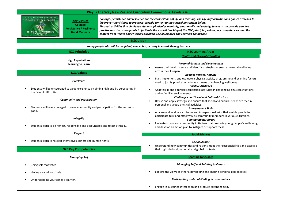

**Key Virtues Courage Persistence / Resilience Good Manners**

*Courage, persistence and resilience are the cornerstones of life and learning. The Life Raft activities and games attached to 'Be brave – participate to progress' provide context to the curriculum content below. Through activities that challenge students physically, mentally, emotionally and socially, teachers can provide genuine practise and discussion points to facilitate the explicit teaching of the NZC principles, values, key competencies, and the content from Health and Physical Education, Social Sciences and Learning Languages.*

| Young people who will be confident, connected, actively involved lifelong learners.                                                                                                                                                                                                                                                                                     |                                                                                                                                                                                                                                                                                                                                                                                                                                                                                                                                                                                                                                                                                                                                                                                                                   |
|-------------------------------------------------------------------------------------------------------------------------------------------------------------------------------------------------------------------------------------------------------------------------------------------------------------------------------------------------------------------------|-------------------------------------------------------------------------------------------------------------------------------------------------------------------------------------------------------------------------------------------------------------------------------------------------------------------------------------------------------------------------------------------------------------------------------------------------------------------------------------------------------------------------------------------------------------------------------------------------------------------------------------------------------------------------------------------------------------------------------------------------------------------------------------------------------------------|
| <b>NZC Principles</b>                                                                                                                                                                                                                                                                                                                                                   | <b>NZC Learning Areas</b>                                                                                                                                                                                                                                                                                                                                                                                                                                                                                                                                                                                                                                                                                                                                                                                         |
| <b>High Expectations</b><br><b>Learning to Learn</b>                                                                                                                                                                                                                                                                                                                    | <b>Health and Physical Education</b><br><b>Personal Growth and Development</b><br>Assess their health needs and identify strategies to ensure personal wellbeing                                                                                                                                                                                                                                                                                                                                                                                                                                                                                                                                                                                                                                                  |
| <b>NZC Values</b>                                                                                                                                                                                                                                                                                                                                                       | across their lifespan.<br><b>Regular Physical Activity</b>                                                                                                                                                                                                                                                                                                                                                                                                                                                                                                                                                                                                                                                                                                                                                        |
| Excellence<br>Students will be encouraged to value excellence by aiming high and by persevering in<br>the face of difficulties.<br><b>Community and Participation</b><br>Students will be encouraged to value community and participation for the common<br>good.<br><b>Integrity</b><br>Students learn to be honest, responsible and accountable and to act ethically. | Plan, implement, and evaluate a physical activity programme and examine factors<br>used to justify physical activity as a means of enhancing well-being.<br><b>Positive Attitudes</b><br>Adapt skills and appraise responsible attitudes in challenging physical situations<br>and unfamiliar environments.<br><b>Challenges and Social and Cultural Factors</b><br>Devise and apply strategies to ensure that social and cultural needs are met in<br>personal and group physical activities.<br><b>Interpersonal Skills</b><br>Analyse and evaluate attitudes and interpersonal skills that enable people to<br>participate fully and effectively as community members in various situations.<br><b>Community Resources</b><br>Evaluate school and community initiatives that promote young people's well-being |
|                                                                                                                                                                                                                                                                                                                                                                         | and develop an action plan to instigate or support these.                                                                                                                                                                                                                                                                                                                                                                                                                                                                                                                                                                                                                                                                                                                                                         |
| Respect<br>Students learn to respect themselves, others and human rights.                                                                                                                                                                                                                                                                                               | <b>Social Sciences</b><br><b>Social Studies</b><br>Understand how communities and nations meet their responsibilities and exercise                                                                                                                                                                                                                                                                                                                                                                                                                                                                                                                                                                                                                                                                                |
| <b>NZC Key Competencies</b>                                                                                                                                                                                                                                                                                                                                             | their rights in local, national, and global contexts.                                                                                                                                                                                                                                                                                                                                                                                                                                                                                                                                                                                                                                                                                                                                                             |
| <b>Managing Self</b>                                                                                                                                                                                                                                                                                                                                                    | <b>Learning Languages</b>                                                                                                                                                                                                                                                                                                                                                                                                                                                                                                                                                                                                                                                                                                                                                                                         |
| Being self-motivated.                                                                                                                                                                                                                                                                                                                                                   | <b>Managing Self and Relating to Others</b>                                                                                                                                                                                                                                                                                                                                                                                                                                                                                                                                                                                                                                                                                                                                                                       |
| Having a can-do attitude.                                                                                                                                                                                                                                                                                                                                               | Explore the views of others, developing and sharing personal perspectives.                                                                                                                                                                                                                                                                                                                                                                                                                                                                                                                                                                                                                                                                                                                                        |
| Understanding yourself as a learner.                                                                                                                                                                                                                                                                                                                                    | Participating and contributing in communities                                                                                                                                                                                                                                                                                                                                                                                                                                                                                                                                                                                                                                                                                                                                                                     |
|                                                                                                                                                                                                                                                                                                                                                                         | Engage in sustained interaction and produce extended text.                                                                                                                                                                                                                                                                                                                                                                                                                                                                                                                                                                                                                                                                                                                                                        |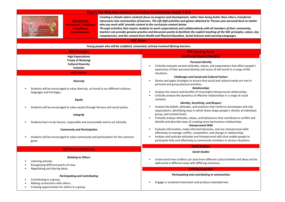

**Key Virtues Persistence / Resilience Friendliness Good Manners**

*Creating a climate where students focus on progress and development, rather than being better than others, transforms classrooms into communities of learners. The Life Raft activities and games attached to 'Pursue your personal best no matter who you work with' provide context to the curriculum content below.*

*Through activities that require students to work cooperatively and collaboratively with all members of their community, teachers can provide genuine practise and discussion points to facilitate the explicit teaching of the NZC principles, values, key competencies, and the content from Health and Physical Education, Social Sciences and Learning Languages.*

| Young people who will be confident, connected, actively involved lifelong learners.                                                                                                                                                                                                                                                            |                                                                                                                                                                                                                                                                                                                                                                                                                                                                                                                                                                                                                                                                                                                                                                                                                |
|------------------------------------------------------------------------------------------------------------------------------------------------------------------------------------------------------------------------------------------------------------------------------------------------------------------------------------------------|----------------------------------------------------------------------------------------------------------------------------------------------------------------------------------------------------------------------------------------------------------------------------------------------------------------------------------------------------------------------------------------------------------------------------------------------------------------------------------------------------------------------------------------------------------------------------------------------------------------------------------------------------------------------------------------------------------------------------------------------------------------------------------------------------------------|
| <b>NZC Principles</b>                                                                                                                                                                                                                                                                                                                          | <b>NZC Learning Areas</b>                                                                                                                                                                                                                                                                                                                                                                                                                                                                                                                                                                                                                                                                                                                                                                                      |
| <b>High Expectations</b><br><b>Treaty of Waitangi</b><br><b>Cultural Diversity</b><br><b>Inclusion</b>                                                                                                                                                                                                                                         | <b>Health and Physical Education</b><br><b>Personal Identity</b><br>Critically evaluate societal attitudes, values, and expectations that affect people's<br>awareness of their personal identity and sense of self-worth in a range of life                                                                                                                                                                                                                                                                                                                                                                                                                                                                                                                                                                   |
| <b>NZC Values</b>                                                                                                                                                                                                                                                                                                                              | situations.                                                                                                                                                                                                                                                                                                                                                                                                                                                                                                                                                                                                                                                                                                                                                                                                    |
| <b>Diversity</b><br>Students will be encouraged to value diversity, as found in our different cultures,<br>languages and heritages.<br><b>Equity</b><br>Students will be encouraged to value equity through fairness and social justice.<br><b>Integrity</b><br>Students learn to be honest, responsible and accountable and to act ethically. | <b>Challenges and Social and Cultural Factors</b><br>Devise and apply strategies to ensure that social and cultural needs are met in<br>personal and group physical activities.<br><b>Relationships</b><br>Analyse the nature and benefits of meaningful interpersonal relationships.<br>Critically analyse the dynamics of effective relationships in a range of social<br>contexts.<br><b>Identity, Sensitivity, and Respect</b><br>Analyse the beliefs, attitudes, and practices that reinforce stereotypes and role<br>expectations, identifying ways in which these shape people's choices at individual,<br>group, and societal levels.<br>Critically analyse attitudes, values, and behaviours that contribute to conflict and<br>identify and describe ways of creating more harmonious relationships. |
| <b>Community and Participation</b><br>Students will be encouraged to value community and participation for the common<br>good.                                                                                                                                                                                                                 | <b>Interpersonal Skills</b><br>Evaluate information, make informed decisions, and use interpersonal skills<br>effectively to manage conflict, competition, and change in relationships<br>Analyse and evaluate attitudes and interpersonal skills that enable people to<br>participate fully and effectively as community members in various situations.                                                                                                                                                                                                                                                                                                                                                                                                                                                       |
| <b>NZC Key Competencies</b>                                                                                                                                                                                                                                                                                                                    | <b>Social Sciences</b>                                                                                                                                                                                                                                                                                                                                                                                                                                                                                                                                                                                                                                                                                                                                                                                         |
| <b>Relating to Others</b><br>Listening actively.<br>Recognising different points of view.                                                                                                                                                                                                                                                      | <b>Social Studies</b><br>Understand how conflicts can arise from different cultural beliefs and ideas and be<br>addressed in different ways with differing outcomes.                                                                                                                                                                                                                                                                                                                                                                                                                                                                                                                                                                                                                                           |
| Negotiating and sharing ideas.                                                                                                                                                                                                                                                                                                                 | <b>Learning Languages</b>                                                                                                                                                                                                                                                                                                                                                                                                                                                                                                                                                                                                                                                                                                                                                                                      |
| <b>Participating and Contributing</b><br>Contributing in a group.<br>Making connections with others.<br>Creating opportunities for others in a group.                                                                                                                                                                                          | Participating and contributing in communities<br>Engage in sustained interaction and produce extended text.                                                                                                                                                                                                                                                                                                                                                                                                                                                                                                                                                                                                                                                                                                    |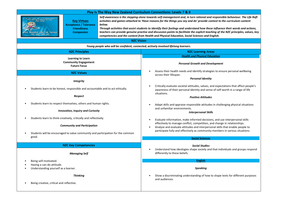| Play Is The Way New Zealand Curriculum Connections: Levels 7 & 8                                                                                                                          |                                                                                                                                                                                                                                                                                                                                                                                                                                                                                                                                                                                                                                 |
|-------------------------------------------------------------------------------------------------------------------------------------------------------------------------------------------|---------------------------------------------------------------------------------------------------------------------------------------------------------------------------------------------------------------------------------------------------------------------------------------------------------------------------------------------------------------------------------------------------------------------------------------------------------------------------------------------------------------------------------------------------------------------------------------------------------------------------------|
| <b>Key Virtues</b><br><b>Acceptance / Tolerance</b><br>below.<br><b>Friendliness</b><br><b>Compassion</b><br>REASONS FOR THE THINGS<br>YOU SAY AND DO                                     | Self-awareness is the stepping-stone towards self-management and, in turn rational and responsible behaviour. The Life Raft<br>activities and games attached to 'Have reasons for the things you say and do' provide context to the curriculum content<br>Through activities that assist students to identify their feelings and understand how these influence their words and actions,<br>teachers can provide genuine practise and discussion points to facilitate the explicit teaching of the NZC principles, values, key<br>competencies and the content from Health and Physical Education, Social Sciences and English. |
| <b>NZC Vision</b>                                                                                                                                                                         |                                                                                                                                                                                                                                                                                                                                                                                                                                                                                                                                                                                                                                 |
| Young people who will be confident, connected, actively involved lifelong learners.                                                                                                       |                                                                                                                                                                                                                                                                                                                                                                                                                                                                                                                                                                                                                                 |
| <b>NZC Principles</b>                                                                                                                                                                     | <b>NZC Learning Areas</b>                                                                                                                                                                                                                                                                                                                                                                                                                                                                                                                                                                                                       |
| <b>Learning to Learn</b><br><b>Community Engagement</b><br><b>Future Focus</b>                                                                                                            | <b>Health and Physical Education</b><br><b>Personal Growth and Development</b>                                                                                                                                                                                                                                                                                                                                                                                                                                                                                                                                                  |
| <b>NZC Values</b>                                                                                                                                                                         | Assess their health needs and identify strategies to ensure personal wellbeing<br>across their lifespan.<br><b>Personal Identity</b>                                                                                                                                                                                                                                                                                                                                                                                                                                                                                            |
| <b>Integrity</b><br>Students learn to be honest, responsible and accountable and to act ethically.                                                                                        | Critically evaluate societal attitudes, values, and expectations that affect people's<br>awareness of their personal identity and sense of self-worth in a range of life<br>situations.                                                                                                                                                                                                                                                                                                                                                                                                                                         |
| Respect                                                                                                                                                                                   | <b>Positive Attitudes</b>                                                                                                                                                                                                                                                                                                                                                                                                                                                                                                                                                                                                       |
| Students learn to respect themselves, others and human rights.<br><b>Innovation, Inquiry and Curiosity</b>                                                                                | Adapt skills and appraise responsible attitudes in challenging physical situations<br>and unfamiliar environments.<br><b>Interpersonal Skills</b>                                                                                                                                                                                                                                                                                                                                                                                                                                                                               |
| Students learn to think creatively, critically and reflectively.<br><b>Community and Participation</b><br>Students will be encouraged to value community and participation for the common | Evaluate information, make informed decisions, and use interpersonal skills<br>effectively to manage conflict, competition, and change in relationships.<br>Analyse and evaluate attitudes and interpersonal skills that enable people to<br>participate fully and effectively as community members in various situations.                                                                                                                                                                                                                                                                                                      |
| good.                                                                                                                                                                                     | <b>Social Sciences</b>                                                                                                                                                                                                                                                                                                                                                                                                                                                                                                                                                                                                          |
| <b>NZC Key Competencies</b>                                                                                                                                                               | <b>Social Studies</b><br>Understand how ideologies shape society and that individuals and groups respond                                                                                                                                                                                                                                                                                                                                                                                                                                                                                                                        |
| <b>Managing Self</b>                                                                                                                                                                      | differently to these beliefs.                                                                                                                                                                                                                                                                                                                                                                                                                                                                                                                                                                                                   |
| Being self-motivated.                                                                                                                                                                     | <b>English</b>                                                                                                                                                                                                                                                                                                                                                                                                                                                                                                                                                                                                                  |
| Having a can-do attitude.<br>Understanding yourself as a learner.                                                                                                                         | <b>Speaking</b>                                                                                                                                                                                                                                                                                                                                                                                                                                                                                                                                                                                                                 |
| <b>Thinking</b><br>Being creative, critical and reflective.                                                                                                                               | Show a discriminating understanding of how to shape texts for different purposes<br>and audiences.                                                                                                                                                                                                                                                                                                                                                                                                                                                                                                                              |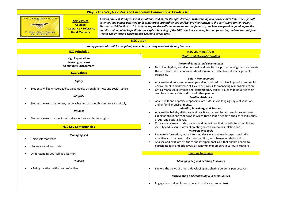

**Courage Acceptance / Tolerance Good Manners**

**Key Virtues**

*As with physical strength, social, emotional and moral strength develops with training and practise over time. The Life Raft activities and games attached to 'It takes great strength to be sensible' provide context to the curriculum content below. Through activities that assist students to practise self-management and self-control, teachers can provide genuine practise and discussion points to facilitate the explicit teaching of the NZC principles, values, key competencies, and the content from Health and Physical Education and Learning Languages.*

| Young people who will be confident, connected, actively involved lifelong learners.               |                                                                                                                                                                                                                                                                                                                                         |
|---------------------------------------------------------------------------------------------------|-----------------------------------------------------------------------------------------------------------------------------------------------------------------------------------------------------------------------------------------------------------------------------------------------------------------------------------------|
| <b>NZC Principles</b>                                                                             | <b>NZC Learning Areas</b>                                                                                                                                                                                                                                                                                                               |
| <b>High Expectations</b><br><b>Learning to Learn</b><br><b>Community Engagement</b>               | <b>Health and Physical Education</b><br><b>Personal Growth and Development</b><br>Describe physical, social, emotional, and intellectual processes of growth and relate                                                                                                                                                                 |
| <b>NZC Values</b>                                                                                 | these to features of adolescent development and effective self-management<br>strategies.                                                                                                                                                                                                                                                |
| <b>Equity</b><br>Students will be encouraged to value equity through fairness and social justice. | <b>Safety Management</b><br>Analyse the difference between perceived and residual risks in physical and social<br>environments and develop skills and behaviour for managing responsible action.                                                                                                                                        |
| <b>Integrity</b>                                                                                  | Critically analyse dilemmas and contemporary ethical issues that influence their<br>own health and safety and that of other people.<br><b>Positive Attitudes</b>                                                                                                                                                                        |
| Students learn to be honest, responsible and accountable and to act ethically.                    | Adapt skills and appraise responsible attitudes in challenging physical situations<br>and unfamiliar environments.                                                                                                                                                                                                                      |
| Respect                                                                                           | <b>Identity, Sensitivity, and Respect</b><br>Analyse the beliefs, attitudes, and practices that reinforce stereotypes and role                                                                                                                                                                                                          |
| Students learn to respect themselves, others and human rights.                                    | expectations, identifying ways in which these shape people's choices at individual,<br>group, and societal levels.                                                                                                                                                                                                                      |
| <b>NZC Key Competencies</b>                                                                       | Critically analyse attitudes, values, and behaviours that contribute to conflict and<br>identify and describe ways of creating more harmonious relationships.<br><b>Interpersonal Skills</b>                                                                                                                                            |
| <b>Managing Self</b><br>Being self-motivated.<br>Having a can-do attitude.                        | Evaluate information, make informed decisions, and use interpersonal skills<br>$\bullet$<br>effectively to manage conflict, competition, and change in relationships.<br>Analyse and evaluate attitudes and interpersonal skills that enable people to<br>participate fully and effectively as community members in various situations. |
| Understanding yourself as a learner.                                                              | <b>Learning Languages</b>                                                                                                                                                                                                                                                                                                               |
| <b>Thinking</b>                                                                                   | <b>Managing Self and Relating to Others</b>                                                                                                                                                                                                                                                                                             |
| · Being creative, critical and reflective.                                                        | Explore the views of others, developing and sharing personal perspectives.                                                                                                                                                                                                                                                              |
|                                                                                                   | Participating and contributing in communities                                                                                                                                                                                                                                                                                           |
|                                                                                                   | Engage in sustained interaction and produce extended text.                                                                                                                                                                                                                                                                              |